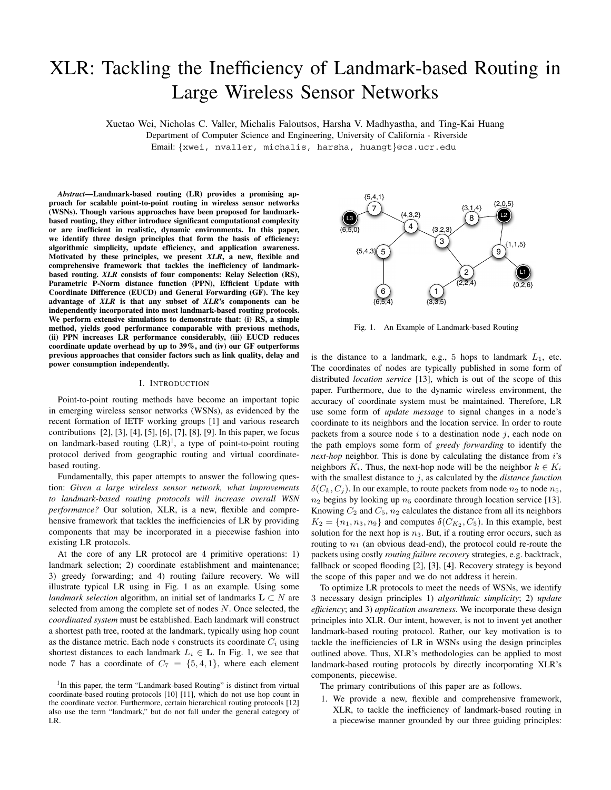# XLR: Tackling the Inefficiency of Landmark-based Routing in Large Wireless Sensor Networks

Xuetao Wei, Nicholas C. Valler, Michalis Faloutsos, Harsha V. Madhyastha, and Ting-Kai Huang

Department of Computer Science and Engineering, University of California - Riverside Email: {xwei, nvaller, michalis, harsha, huangt}@cs.ucr.edu

*Abstract***—Landmark-based routing (LR) provides a promising approach for scalable point-to-point routing in wireless sensor networks (WSNs). Though various approaches have been proposed for landmarkbased routing, they either introduce significant computational complexity or are inefficient in realistic, dynamic environments. In this paper, we identify three design principles that form the basis of efficiency: algorithmic simplicity, update efficiency, and application awareness. Motivated by these principles, we present** *XLR***, a new, flexible and comprehensive framework that tackles the inefficiency of landmarkbased routing.** *XLR* **consists of four components: Relay Selection (RS), Parametric P-Norm distance function (PPN), Efficient Update with Coordinate Difference (EUCD) and General Forwarding (GF). The key advantage of** *XLR* **is that any subset of** *XLR***'s components can be independently incorporated into most landmark-based routing protocols. We perform extensive simulations to demonstrate that: (i) RS, a simple method, yields good performance comparable with previous methods, (ii) PPN increases LR performance considerably, (iii) EUCD reduces coordinate update overhead by up to 39%, and (iv) our GF outperforms previous approaches that consider factors such as link quality, delay and power consumption independently.**

### I. INTRODUCTION

Point-to-point routing methods have become an important topic in emerging wireless sensor networks (WSNs), as evidenced by the recent formation of IETF working groups [1] and various research contributions [2], [3], [4], [5], [6], [7], [8], [9]. In this paper, we focus on landmark-based routing  $(LR)^1$ , a type of point-to-point routing protocol derived from geographic routing and virtual coordinatebased routing.

Fundamentally, this paper attempts to answer the following question: *Given a large wireless sensor network, what improvements to landmark-based routing protocols will increase overall WSN performance?* Our solution, XLR, is a new, flexible and comprehensive framework that tackles the inefficiencies of LR by providing components that may be incorporated in a piecewise fashion into existing LR protocols.

At the core of any LR protocol are 4 primitive operations: 1) landmark selection; 2) coordinate establishment and maintenance; 3) greedy forwarding; and 4) routing failure recovery. We will illustrate typical LR using in Fig. 1 as an example. Using some *landmark selection* algorithm, an initial set of landmarks  $L \subset N$  are selected from among the complete set of nodes  $N$ . Once selected, the *coordinated system* must be established. Each landmark will construct a shortest path tree, rooted at the landmark, typically using hop count as the distance metric. Each node  $i$  constructs its coordinate  $C_i$  using shortest distances to each landmark  $L_i \in \mathbf{L}$ . In Fig. 1, we see that node 7 has a coordinate of  $C_7 = \{5, 4, 1\}$ , where each element



Fig. 1. An Example of Landmark-based Routing

is the distance to a landmark, e.g., 5 hops to landmark  $L_1$ , etc. The coordinates of nodes are typically published in some form of distributed *location service* [13], which is out of the scope of this paper. Furthermore, due to the dynamic wireless environment, the accuracy of coordinate system must be maintained. Therefore, LR use some form of *update message* to signal changes in a node's coordinate to its neighbors and the location service. In order to route packets from a source node  $i$  to a destination node  $j$ , each node on the path employs some form of *greedy forwarding* to identify the *next-hop* neighbor. This is done by calculating the distance from i's neighbors  $K_i$ . Thus, the next-hop node will be the neighbor  $k \in K_i$ with the smallest distance to j, as calculated by the *distance function*  $\delta(C_k, C_i)$ . In our example, to route packets from node  $n_2$  to node  $n_5$ ,  $n_2$  begins by looking up  $n_5$  coordinate through location service [13]. Knowing  $C_2$  and  $C_5$ ,  $n_2$  calculates the distance from all its neighbors  $K_2 = \{n_1, n_3, n_9\}$  and computes  $\delta(C_{K_2}, C_5)$ . In this example, best solution for the next hop is  $n_3$ . But, if a routing error occurs, such as routing to  $n_1$  (an obvious dead-end), the protocol could re-route the packets using costly *routing failure recovery* strategies, e.g. backtrack, fallback or scoped flooding [2], [3], [4]. Recovery strategy is beyond the scope of this paper and we do not address it herein.

To optimize LR protocols to meet the needs of WSNs, we identify 3 necessary design principles 1) *algorithmic simplicity*; 2) *update efficiency*; and 3) *application awareness*. We incorporate these design principles into XLR. Our intent, however, is not to invent yet another landmark-based routing protocol. Rather, our key motivation is to tackle the inefficiencies of LR in WSNs using the design principles outlined above. Thus, XLR's methodologies can be applied to most landmark-based routing protocols by directly incorporating XLR's components, piecewise.

The primary contributions of this paper are as follows.

1. We provide a new, flexible and comprehensive framework, XLR, to tackle the inefficiency of landmark-based routing in a piecewise manner grounded by our three guiding principles:

<sup>&</sup>lt;sup>1</sup>In this paper, the term "Landmark-based Routing" is distinct from virtual coordinate-based routing protocols [10] [11], which do not use hop count in the coordinate vector. Furthermore, certain hierarchical routing protocols [12] also use the term "landmark," but do not fall under the general category of LR.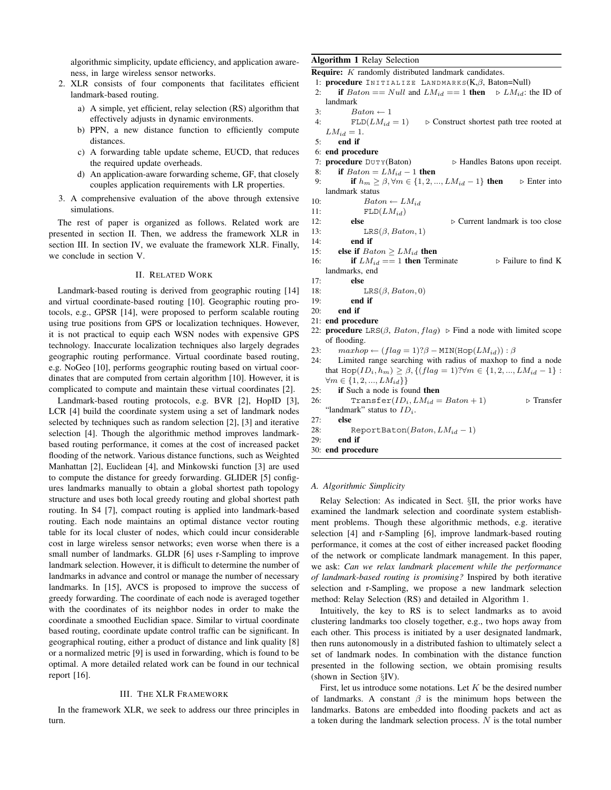algorithmic simplicity, update efficiency, and application awareness, in large wireless sensor networks.

- 2. XLR consists of four components that facilitates efficient landmark-based routing.
	- a) A simple, yet efficient, relay selection (RS) algorithm that effectively adjusts in dynamic environments.
	- b) PPN, a new distance function to efficiently compute distances.
	- c) A forwarding table update scheme, EUCD, that reduces the required update overheads.
	- d) An application-aware forwarding scheme, GF, that closely couples application requirements with LR properties.
- 3. A comprehensive evaluation of the above through extensive simulations.

The rest of paper is organized as follows. Related work are presented in section II. Then, we address the framework XLR in section III. In section IV, we evaluate the framework XLR. Finally, we conclude in section V.

# II. RELATED WORK

Landmark-based routing is derived from geographic routing [14] and virtual coordinate-based routing [10]. Geographic routing protocols, e.g., GPSR [14], were proposed to perform scalable routing using true positions from GPS or localization techniques. However, it is not practical to equip each WSN nodes with expensive GPS technology. Inaccurate localization techniques also largely degrades geographic routing performance. Virtual coordinate based routing, e.g. NoGeo [10], performs geographic routing based on virtual coordinates that are computed from certain algorithm [10]. However, it is complicated to compute and maintain these virtual coordinates [2].

Landmark-based routing protocols, e.g. BVR [2], HopID [3], LCR [4] build the coordinate system using a set of landmark nodes selected by techniques such as random selection [2], [3] and iterative selection [4]. Though the algorithmic method improves landmarkbased routing performance, it comes at the cost of increased packet flooding of the network. Various distance functions, such as Weighted Manhattan [2], Euclidean [4], and Minkowski function [3] are used to compute the distance for greedy forwarding. GLIDER [5] configures landmarks manually to obtain a global shortest path topology structure and uses both local greedy routing and global shortest path routing. In S4 [7], compact routing is applied into landmark-based routing. Each node maintains an optimal distance vector routing table for its local cluster of nodes, which could incur considerable cost in large wireless sensor networks; even worse when there is a small number of landmarks. GLDR [6] uses r-Sampling to improve landmark selection. However, it is difficult to determine the number of landmarks in advance and control or manage the number of necessary landmarks. In [15], AVCS is proposed to improve the success of greedy forwarding. The coordinate of each node is averaged together with the coordinates of its neighbor nodes in order to make the coordinate a smoothed Euclidian space. Similar to virtual coordinate based routing, coordinate update control traffic can be significant. In geographical routing, either a product of distance and link quality [8] or a normalized metric [9] is used in forwarding, which is found to be optimal. A more detailed related work can be found in our technical report [16].

#### III. THE XLR FRAMEWORK

In the framework XLR, we seek to address our three principles in turn.

# **Algorithm 1** Relay Selection

**Require:** *K* randomly distributed landmark candidates.

- 1: **procedure** INITIALIZE LANDMARKS(K, $\beta$ , Baton=Null)<br>2: **if** Baton == Null and  $LM_{id}$  == 1 **then**  $\triangleright LM_{id}$ :
- if  $Baton == Null$  and  $LM_{id} == 1$  then  $\triangleright LM_{id}$ : the ID of landmark
- 

3:  $\qquad \qquad \begin{array}{l} \textit{Baton} \leftarrow 1 \\ \textit{4:} \qquad \qquad \textit{FLD}(LM_{id} = 1) \end{array}$  $\triangleright$  Construct shortest path tree rooted at  $LM_{id} = 1.$ 

5: **end if**

- 6: **end procedure**<br>7: **procedure**  $DUTY(Baton)$ 7: **procedure**  $DUTY(Baton)$   $\rightarrow$  Handles Batons upon receipt.<br>8: **if**  $Baton = LM_{id} - 1$  **then**
- 8: **if**  $Batch = LM_{id} 1$  **then**<br>9: **if**  $h_m > \beta, \forall m \in \{1, 2, ... \}$ **if**  $h_m \geq \beta, \forall m \in \{1, 2, ..., LM_{id} - 1\}$  **then**  $\triangleright$  Enter into landmark status

10:  $Batch \leftarrow LM_{id}$ <br>11: FLD $(LM_{id})$ 

- 11:  $FLD(LM_{id})$ <br>12: **else**
- 
- 12: **else**  $\triangleright$  Current landmark is too close 13:  $LRS(\beta, Baton, 1)$ 13: LRS $(\beta, Baton, 1)$ <br>14: **end if**
- end if
- 15: **else if**  $Batch \ge LM_{id}$  **then**<br>16: **if**  $LM_{id} == 1$  **then** Terr
- **if**  $LM_{id} == 1$  **then** Terminate  $\triangleright$  Failure to find K landmarks, end
- 17: **else**
- 18: LRS $(\beta, Baton, 0)$ <br>19: **end if**
- end if
- 20: **end if**
- 21: **end procedure**
- 22: **procedure** LRS( $\beta$ , *Baton*, *flag*)  $\triangleright$  Find a node with limited scope of flooding.
- 23:  $maxhop \leftarrow (flag = 1)?\beta \text{MIN}(\text{Hop}(LM_{id})) : \beta$ <br>24: Limited range searching with radius of maxhon to
- Limited range searching with radius of maxhop to find a node that  $\text{Hop}(ID_i, h_m) \geq \beta, \{ (flag = 1) ? \forall m \in \{1, 2, ..., LM_{id} - 1\} :$  $∀m ∈ {1, 2, ..., LM_{id}}$
- 25: **if** Such a node is found **then**
- 26: Transfer( $ID_i$ ,  $LM_{id} = Baton + 1$ )  $\triangleright$  Transfer "landmark" status to ID*i*.

27: **else**

- 28: ReportBaton( $Baton, LM_{id} 1$ )<br>29: **end if**
- end if

30: **end procedure**

#### *A. Algorithmic Simplicity*

Relay Selection: As indicated in Sect. §II, the prior works have examined the landmark selection and coordinate system establishment problems. Though these algorithmic methods, e.g. iterative selection [4] and r-Sampling [6], improve landmark-based routing performance, it comes at the cost of either increased packet flooding of the network or complicate landmark management. In this paper, we ask: *Can we relax landmark placement while the performance of landmark-based routing is promising?* Inspired by both iterative selection and r-Sampling, we propose a new landmark selection method: Relay Selection (RS) and detailed in Algorithm 1.

Intuitively, the key to RS is to select landmarks as to avoid clustering landmarks too closely together, e.g., two hops away from each other. This process is initiated by a user designated landmark, then runs autonomously in a distributed fashion to ultimately select a set of landmark nodes. In combination with the distance function presented in the following section, we obtain promising results (shown in Section §IV).

First, let us introduce some notations. Let  $K$  be the desired number of landmarks. A constant  $\beta$  is the minimum hops between the landmarks. Batons are embedded into flooding packets and act as a token during the landmark selection process. N is the total number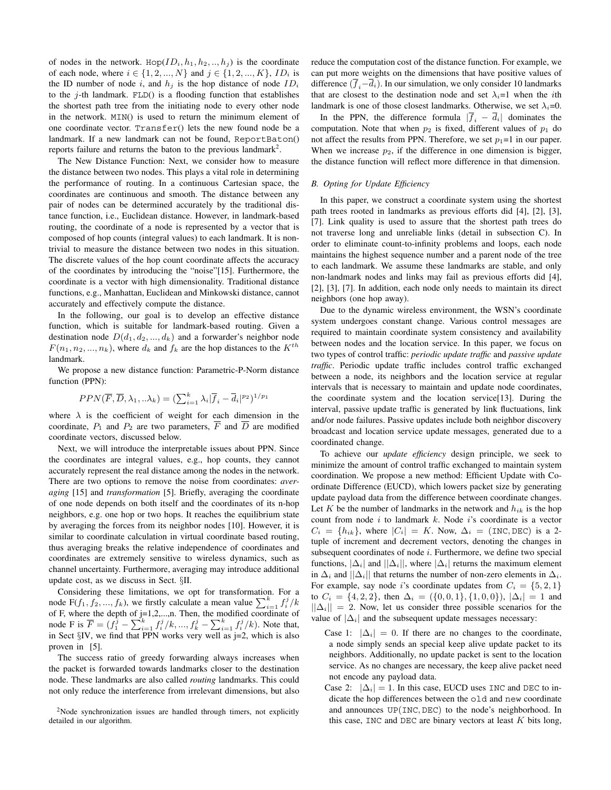of nodes in the network. Hop( $ID_i, h_1, h_2, ..., h_j$ ) is the coordinate of each node, where  $i \in \{1, 2, ..., N\}$  and  $j \in \{1, 2, ..., K\}$ , *ID<sub>i</sub>* is the ID number of node i, and  $h_i$  is the hop distance of node  $ID_i$ to the *j*-th landmark.  $FLD()$  is a flooding function that establishes the shortest path tree from the initiating node to every other node in the network. MIN() is used to return the minimum element of one coordinate vector. Transfer() lets the new found node be a landmark. If a new landmark can not be found, ReportBaton() reports failure and returns the baton to the previous landmark<sup>2</sup>.

The New Distance Function: Next, we consider how to measure the distance between two nodes. This plays a vital role in determining the performance of routing. In a continuous Cartesian space, the coordinates are continuous and smooth. The distance between any pair of nodes can be determined accurately by the traditional distance function, i.e., Euclidean distance. However, in landmark-based routing, the coordinate of a node is represented by a vector that is composed of hop counts (integral values) to each landmark. It is nontrivial to measure the distance between two nodes in this situation. The discrete values of the hop count coordinate affects the accuracy of the coordinates by introducing the "noise"[15]. Furthermore, the coordinate is a vector with high dimensionality. Traditional distance functions, e.g., Manhattan, Euclidean and Minkowski distance, cannot accurately and effectively compute the distance.

In the following, our goal is to develop an effective distance function, which is suitable for landmark-based routing. Given a destination node  $D(d_1, d_2, ..., d_k)$  and a forwarder's neighbor node  $F(n_1, n_2, ..., n_k)$ , where  $d_k$  and  $f_k$  are the hop distances to the  $K^{th}$ landmark.

We propose a new distance function: Parametric-P-Norm distance function (PPN):

$$
PPN(\overline{F}, \overline{D}, \lambda_1, \ldots, \lambda_k) = (\sum_{i=1}^k \lambda_i | \overline{f}_i - \overline{d}_i |^{p_2})^{1/p_1}
$$

where  $\lambda$  is the coefficient of weight for each dimension in the coordinate,  $P_1$  and  $P_2$  are two parameters,  $\overline{F}$  and  $\overline{D}$  are modified coordinate vectors, discussed below.

Next, we will introduce the interpretable issues about PPN. Since the coordinates are integral values, e.g., hop counts, they cannot accurately represent the real distance among the nodes in the network. There are two options to remove the noise from coordinates: *averaging* [15] and *transformation* [5]. Briefly, averaging the coordinate of one node depends on both itself and the coordinates of its n-hop neighbors, e.g. one hop or two hops. It reaches the equilibrium state by averaging the forces from its neighbor nodes [10]. However, it is similar to coordinate calculation in virtual coordinate based routing, thus averaging breaks the relative independence of coordinates and coordinates are extremely sensitive to wireless dynamics, such as channel uncertainty. Furthermore, averaging may introduce additional update cost, as we discuss in Sect. §II.

Considering these limitations, we opt for transformation. For a node F( $f_1, f_2, ..., f_k$ ), we firstly calculate a mean value  $\sum_{i=1}^{k} f_i^j / k$ of F, where the depth of j=1,2,...,n. Then, the modified coordinate of node F is  $\overline{F} = (f_1^{\overline{j}} - \sum_{i=1}^k f_i^j / k, ..., f_k^j - \sum_{i=1}^k f_i^j / k)$ . Note that, in Sect  $\S$ IV, we find that PPN works very well as  $j=2$ , which is also proven in [5].

The success ratio of greedy forwarding always increases when the packet is forwarded towards landmarks closer to the destination node. These landmarks are also called *routing* landmarks. This could not only reduce the interference from irrelevant dimensions, but also

 $2$ Node synchronization issues are handled through timers, not explicitly detailed in our algorithm.

reduce the computation cost of the distance function. For example, we can put more weights on the dimensions that have positive values of difference  $(\overline{f}_i-\overline{d}_i)$ . In our simulation, we only consider 10 landmarks that are closest to the destination node and set  $\lambda_i = 1$  when the *i*th landmark is one of those closest landmarks. Otherwise, we set  $\lambda_i = 0$ .

In the PPN, the difference formula  $|\overline{f}_i - \overline{d}_i|$  dominates the computation. Note that when  $p_2$  is fixed, different values of  $p_1$  do not affect the results from PPN. Therefore, we set  $p_1=1$  in our paper. When we increase  $p_2$ , if the difference in one dimension is bigger, the distance function will reflect more difference in that dimension.

# *B. Opting for Update Efficiency*

In this paper, we construct a coordinate system using the shortest path trees rooted in landmarks as previous efforts did [4], [2], [3], [7]. Link quality is used to assure that the shortest path trees do not traverse long and unreliable links (detail in subsection C). In order to eliminate count-to-infinity problems and loops, each node maintains the highest sequence number and a parent node of the tree to each landmark. We assume these landmarks are stable, and only non-landmark nodes and links may fail as previous efforts did [4], [2], [3], [7]. In addition, each node only needs to maintain its direct neighbors (one hop away).

Due to the dynamic wireless environment, the WSN's coordinate system undergoes constant change. Various control messages are required to maintain coordinate system consistency and availability between nodes and the location service. In this paper, we focus on two types of control traffic: *periodic update traffic* and *passive update traffic*. Periodic update traffic includes control traffic exchanged between a node, its neighbors and the location service at regular intervals that is necessary to maintain and update node coordinates, the coordinate system and the location service[13]. During the interval, passive update traffic is generated by link fluctuations, link and/or node failures. Passive updates include both neighbor discovery broadcast and location service update messages, generated due to a coordinated change.

To achieve our *update efficiency* design principle, we seek to minimize the amount of control traffic exchanged to maintain system coordination. We propose a new method: Efficient Update with Coordinate Difference (EUCD), which lowers packet size by generating update payload data from the difference between coordinate changes. Let  $K$  be the number of landmarks in the network and  $h_{ik}$  is the hop count from node  $i$  to landmark  $k$ . Node  $i$ 's coordinate is a vector  $C_i = \{h_{ik}\}\$ , where  $|C_i| = K$ . Now,  $\Delta_i = (\text{INC}, \text{DEC})$  is a 2tuple of increment and decrement vectors, denoting the changes in subsequent coordinates of node  $i$ . Furthermore, we define two special functions,  $|\Delta_i|$  and  $||\Delta_i||$ , where  $|\Delta_i|$  returns the maximum element in  $\Delta_i$  and  $||\Delta_i||$  that returns the number of non-zero elements in  $\Delta_i$ . For example, say node *i*'s coordinate updates from  $C_i = \{5, 2, 1\}$ to  $C_i = \{4, 2, 2\}$ , then  $\Delta_i = (\{0, 0, 1\}, \{1, 0, 0\})$ ,  $|\Delta_i| = 1$  and  $||\Delta_i|| = 2$ . Now, let us consider three possible scenarios for the value of  $|\Delta_i|$  and the subsequent update messages necessary:

- Case 1:  $|\Delta_i| = 0$ . If there are no changes to the coordinate, a node simply sends an special keep alive update packet to its neighbors. Additionally, no update packet is sent to the location service. As no changes are necessary, the keep alive packet need not encode any payload data.
- Case 2:  $|\Delta_i| = 1$ . In this case, EUCD uses INC and DEC to indicate the hop differences between the old and new coordinate and announces UP(INC, DEC) to the node's neighborhood. In this case, INC and DEC are binary vectors at least  $K$  bits long,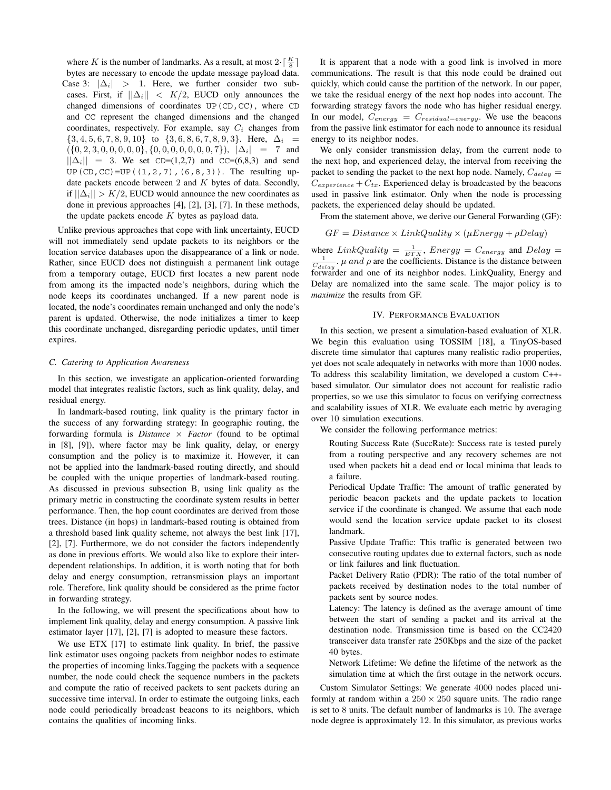where *K* is the number of landmarks. As a result, at most  $2 \cdot \lceil \frac{K}{8} \rceil$ bytes are necessary to encode the update message payload data. Case 3:  $|\Delta_i|$  > 1. Here, we further consider two subcases. First, if  $||\Delta_i|| < K/2$ , EUCD only announces the changed dimensions of coordinates UP(CD,CC), where CD and CC represent the changed dimensions and the changed coordinates, respectively. For example, say C*<sup>i</sup>* changes from  $\{3, 4, 5, 6, 7, 8, 9, 10\}$  to  $\{3, 6, 8, 6, 7, 8, 9, 3\}$ . Here,  $\Delta_i$  =  $({0, 2, 3, 0, 0, 0, 0, 0}, {0, 0, 0, 0, 0, 0, 0, 0, 7}), |\Delta_i| = 7$  and  $||\Delta_i|| = 3$ . We set CD=(1,2,7) and CC=(6,8,3) and send UP(CD, CC)=UP( $(1, 2, 7)$ ,  $(6, 8, 3)$ ). The resulting update packets encode between 2 and K bytes of data. Secondly, if  $||\Delta_i|| > K/2$ , EUCD would announce the new coordinates as done in previous approaches [4], [2], [3], [7]. In these methods, the update packets encode  $K$  bytes as payload data.

Unlike previous approaches that cope with link uncertainty, EUCD will not immediately send update packets to its neighbors or the location service databases upon the disappearance of a link or node. Rather, since EUCD does not distinguish a permanent link outage from a temporary outage, EUCD first locates a new parent node from among its the impacted node's neighbors, during which the node keeps its coordinates unchanged. If a new parent node is located, the node's coordinates remain unchanged and only the node's parent is updated. Otherwise, the node initializes a timer to keep this coordinate unchanged, disregarding periodic updates, until timer expires.

### *C. Catering to Application Awareness*

In this section, we investigate an application-oriented forwarding model that integrates realistic factors, such as link quality, delay, and residual energy.

In landmark-based routing, link quality is the primary factor in the success of any forwarding strategy: In geographic routing, the forwarding formula is *Distance*  $\times$  *Factor* (found to be optimal in [8], [9]), where factor may be link quality, delay, or energy consumption and the policy is to maximize it. However, it can not be applied into the landmark-based routing directly, and should be coupled with the unique properties of landmark-based routing. As discussed in previous subsection B, using link quality as the primary metric in constructing the coordinate system results in better performance. Then, the hop count coordinates are derived from those trees. Distance (in hops) in landmark-based routing is obtained from a threshold based link quality scheme, not always the best link [17], [2], [7]. Furthermore, we do not consider the factors independently as done in previous efforts. We would also like to explore their interdependent relationships. In addition, it is worth noting that for both delay and energy consumption, retransmission plays an important role. Therefore, link quality should be considered as the prime factor in forwarding strategy.

In the following, we will present the specifications about how to implement link quality, delay and energy consumption. A passive link estimator layer [17], [2], [7] is adopted to measure these factors.

We use ETX [17] to estimate link quality. In brief, the passive link estimator uses ongoing packets from neighbor nodes to estimate the properties of incoming links.Tagging the packets with a sequence number, the node could check the sequence numbers in the packets and compute the ratio of received packets to sent packets during an successive time interval. In order to estimate the outgoing links, each node could periodically broadcast beacons to its neighbors, which contains the qualities of incoming links.

It is apparent that a node with a good link is involved in more communications. The result is that this node could be drained out quickly, which could cause the partition of the network. In our paper, we take the residual energy of the next hop nodes into account. The forwarding strategy favors the node who has higher residual energy. In our model, C*energy* = C*residual−energy*. We use the beacons from the passive link estimator for each node to announce its residual energy to its neighbor nodes.

We only consider transmission delay, from the current node to the next hop, and experienced delay, the interval from receiving the packet to sending the packet to the next hop node. Namely,  $C_{delay}$  =  $C_{\text{experience}} + C_{tx}$ . Experienced delay is broadcasted by the beacons used in passive link estimator. Only when the node is processing packets, the experienced delay should be updated.

From the statement above, we derive our General Forwarding (GF):

$$
GF = Distance \times LinkQuality \times (\mu Energy + \rho Delay)
$$

where  $LinkQuality = \frac{1}{ETX}$ ,  $Energy = C_{energy}$  and  $Delay = \frac{1}{C_{delay}}$ ,  $\mu$  and  $\rho$  are the coefficients. Distance is the distance between forwarder and one of its neighbor nodes. LinkQuality, Energy and Delay are nomalized into the same scale. The major policy is to *maximize* the results from GF.

### IV. PERFORMANCE EVALUATION

In this section, we present a simulation-based evaluation of XLR. We begin this evaluation using TOSSIM [18], a TinyOS-based discrete time simulator that captures many realistic radio properties, yet does not scale adequately in networks with more than 1000 nodes. To address this scalability limitation, we developed a custom C++ based simulator. Our simulator does not account for realistic radio properties, so we use this simulator to focus on verifying correctness and scalability issues of XLR. We evaluate each metric by averaging over 10 simulation executions.

We consider the following performance metrics:

Routing Success Rate (SuccRate): Success rate is tested purely from a routing perspective and any recovery schemes are not used when packets hit a dead end or local minima that leads to a failure.

Periodical Update Traffic: The amount of traffic generated by periodic beacon packets and the update packets to location service if the coordinate is changed. We assume that each node would send the location service update packet to its closest landmark.

Passive Update Traffic: This traffic is generated between two consecutive routing updates due to external factors, such as node or link failures and link fluctuation.

Packet Delivery Ratio (PDR): The ratio of the total number of packets received by destination nodes to the total number of packets sent by source nodes.

Latency: The latency is defined as the average amount of time between the start of sending a packet and its arrival at the destination node. Transmission time is based on the CC2420 transceiver data transfer rate 250Kbps and the size of the packet 40 bytes.

Network Lifetime: We define the lifetime of the network as the simulation time at which the first outage in the network occurs.

Custom Simulator Settings: We generate 4000 nodes placed uniformly at random within a  $250 \times 250$  square units. The radio range is set to 8 units. The default number of landmarks is 10. The average node degree is approximately 12. In this simulator, as previous works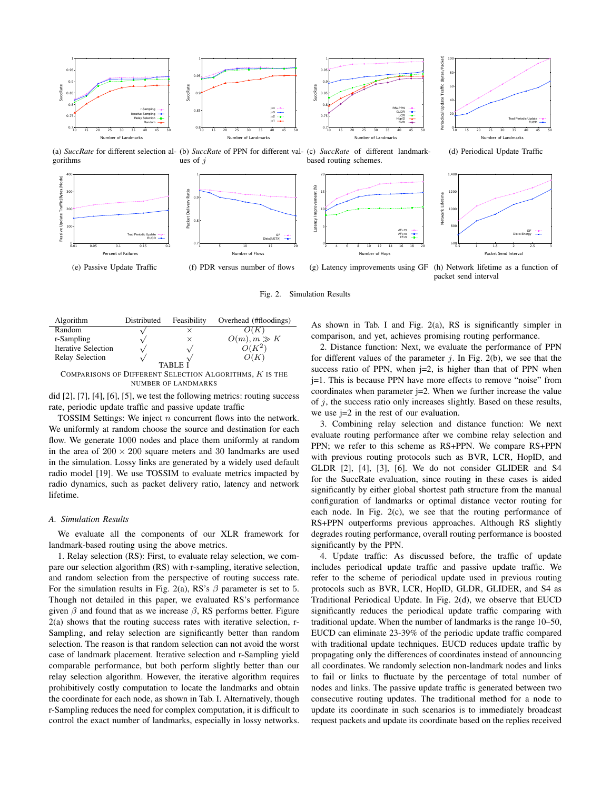

(a) *SuccRate* for different selection al-(b) *SuccRate* of PPN for different val-(c) *SuccRate* of different landmarkgorithms ues of  $j$ based routing schemes.



Fig. 2. Simulation Results

| Algorithm                                               | Distributed | Feasibility | Overhead (#floodings) |
|---------------------------------------------------------|-------------|-------------|-----------------------|
| Random                                                  |             | ×           |                       |
| r-Sampling                                              |             | $\times$    | $O(m), m \gg K$       |
| <b>Iterative Selection</b>                              |             |             | $O(K^2)$              |
| Relay Selection                                         |             |             | O(K)                  |
| <b>TABLE I</b>                                          |             |             |                       |
| COMPARISONS OF DIFFERENT SELECTION ALGORITHMS, K IS THE |             |             |                       |
| <b>NUMBER OF LANDMARKS</b>                              |             |             |                       |

did [2], [7], [4], [6], [5], we test the following metrics: routing success rate, periodic update traffic and passive update traffic

TOSSIM Settings: We inject n concurrent flows into the network. We uniformly at random choose the source and destination for each flow. We generate 1000 nodes and place them uniformly at random in the area of  $200 \times 200$  square meters and 30 landmarks are used in the simulation. Lossy links are generated by a widely used default radio model [19]. We use TOSSIM to evaluate metrics impacted by radio dynamics, such as packet delivery ratio, latency and network lifetime.

## *A. Simulation Results*

We evaluate all the components of our XLR framework for landmark-based routing using the above metrics.

1. Relay selection (RS): First, to evaluate relay selection, we compare our selection algorithm (RS) with r-sampling, iterative selection, and random selection from the perspective of routing success rate. For the simulation results in Fig. 2(a), RS's  $\beta$  parameter is set to 5. Though not detailed in this paper, we evaluated RS's performance given  $\beta$  and found that as we increase  $\beta$ , RS performs better. Figure 2(a) shows that the routing success rates with iterative selection, r-Sampling, and relay selection are significantly better than random selection. The reason is that random selection can not avoid the worst case of landmark placement. Iterative selection and r-Sampling yield comparable performance, but both perform slightly better than our relay selection algorithm. However, the iterative algorithm requires prohibitively costly computation to locate the landmarks and obtain the coordinate for each node, as shown in Tab. I. Alternatively, though r-Sampling reduces the need for complex computation, it is difficult to control the exact number of landmarks, especially in lossy networks.

As shown in Tab. I and Fig. 2(a), RS is significantly simpler in comparison, and yet, achieves promising routing performance.

2. Distance function: Next, we evaluate the performance of PPN for different values of the parameter  $i$ . In Fig. 2(b), we see that the success ratio of PPN, when  $j=2$ , is higher than that of PPN when j=1. This is because PPN have more effects to remove "noise" from coordinates when parameter  $j=2$ . When we further increase the value of  $j$ , the success ratio only increases slightly. Based on these results, we use j=2 in the rest of our evaluation.

3. Combining relay selection and distance function: We next evaluate routing performance after we combine relay selection and PPN; we refer to this scheme as RS+PPN. We compare RS+PPN with previous routing protocols such as BVR, LCR, HopID, and GLDR [2], [4], [3], [6]. We do not consider GLIDER and S4 for the SuccRate evaluation, since routing in these cases is aided significantly by either global shortest path structure from the manual configuration of landmarks or optimal distance vector routing for each node. In Fig. 2(c), we see that the routing performance of RS+PPN outperforms previous approaches. Although RS slightly degrades routing performance, overall routing performance is boosted significantly by the PPN.

4. Update traffic: As discussed before, the traffic of update includes periodical update traffic and passive update traffic. We refer to the scheme of periodical update used in previous routing protocols such as BVR, LCR, HopID, GLDR, GLIDER, and S4 as Traditional Periodical Update. In Fig. 2(d), we observe that EUCD significantly reduces the periodical update traffic comparing with traditional update. When the number of landmarks is the range 10–50, EUCD can eliminate 23-39% of the periodic update traffic compared with traditional update techniques. EUCD reduces update traffic by propagating only the differences of coordinates instead of announcing all coordinates. We randomly selection non-landmark nodes and links to fail or links to fluctuate by the percentage of total number of nodes and links. The passive update traffic is generated between two consecutive routing updates. The traditional method for a node to update its coordinate in such scenarios is to immediately broadcast request packets and update its coordinate based on the replies received